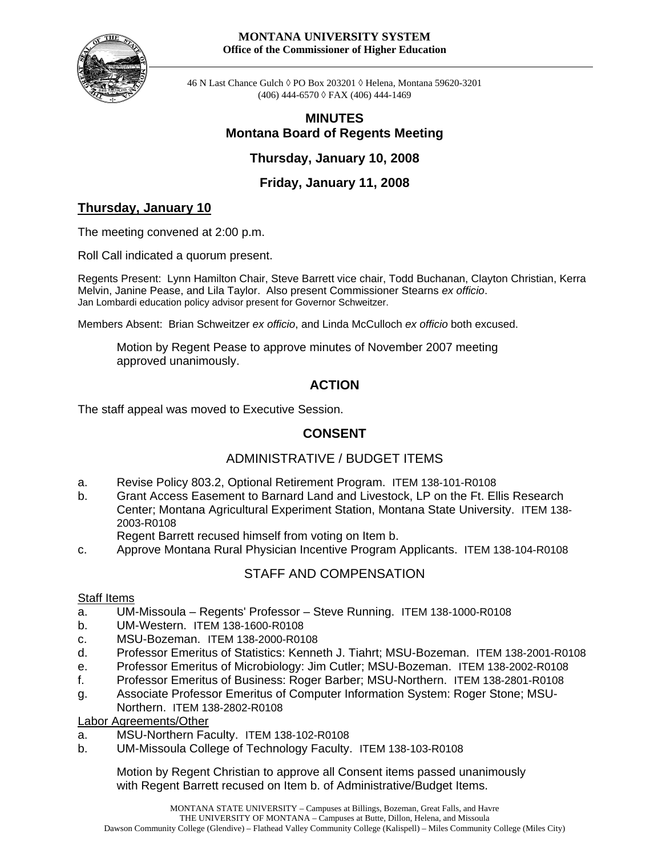#### **MONTANA UNIVERSITY SYSTEM Office of the Commissioner of Higher Education**



46 N Last Chance Gulch ◊ PO Box 203201 ◊ Helena, Montana 59620-3201 (406) 444-6570 ◊ FAX (406) 444-1469

## **MINUTES Montana Board of Regents Meeting**

**Thursday, January 10, 2008** 

**Friday, January 11, 2008** 

## **Thursday, January 10**

The meeting convened at 2:00 p.m.

Roll Call indicated a quorum present.

Regents Present: Lynn Hamilton Chair, Steve Barrett vice chair, Todd Buchanan, Clayton Christian, Kerra Melvin, Janine Pease, and Lila Taylor. Also present Commissioner Stearns *ex officio*. Jan Lombardi education policy advisor present for Governor Schweitzer.

Members Absent: Brian Schweitzer *ex officio*, and Linda McCulloch *ex officio* both excused.

Motion by Regent Pease to approve minutes of November 2007 meeting approved unanimously.

## **ACTION**

The staff appeal was moved to Executive Session.

# **CONSENT**

## ADMINISTRATIVE / BUDGET ITEMS

- a. Revise Policy 803.2, Optional Retirement Program. ITEM 138-101-R0108
- b. Grant Access Easement to Barnard Land and Livestock, LP on the Ft. Ellis Research Center; Montana Agricultural Experiment Station, Montana State University. ITEM 138- 2003-R0108
	- Regent Barrett recused himself from voting on Item b.
- c. Approve Montana Rural Physician Incentive Program Applicants. ITEM 138-104-R0108

## STAFF AND COMPENSATION

## **Staff Items**

- a. UM-Missoula Regents' Professor Steve Running. ITEM 138-1000-R0108
- b. UM-Western. ITEM 138-1600-R0108
- c. MSU-Bozeman. ITEM 138-2000-R0108
- d. Professor Emeritus of Statistics: Kenneth J. Tiahrt; MSU-Bozeman. ITEM 138-2001-R0108
- e. Professor Emeritus of Microbiology: Jim Cutler; MSU-Bozeman. ITEM 138-2002-R0108
- f. Professor Emeritus of Business: Roger Barber; MSU-Northern. ITEM 138-2801-R0108
- g. Associate Professor Emeritus of Computer Information System: Roger Stone; MSU-Northern. ITEM 138-2802-R0108

Labor Agreements/Other

- a. MSU-Northern Faculty. ITEM 138-102-R0108
- b. UM-Missoula College of Technology Faculty. ITEM 138-103-R0108

Motion by Regent Christian to approve all Consent items passed unanimously with Regent Barrett recused on Item b. of Administrative/Budget Items.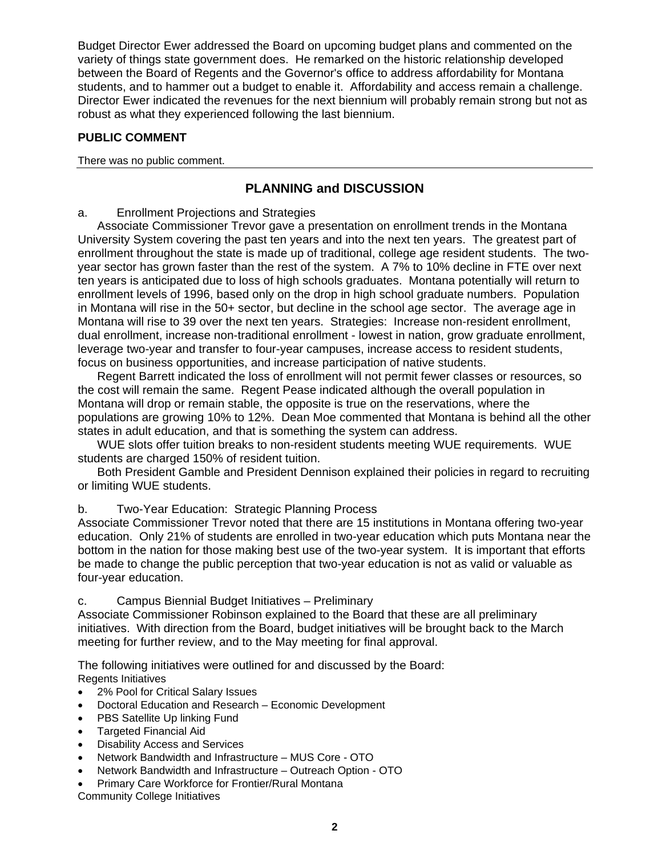Budget Director Ewer addressed the Board on upcoming budget plans and commented on the variety of things state government does. He remarked on the historic relationship developed between the Board of Regents and the Governor's office to address affordability for Montana students, and to hammer out a budget to enable it. Affordability and access remain a challenge. Director Ewer indicated the revenues for the next biennium will probably remain strong but not as robust as what they experienced following the last biennium.

## **PUBLIC COMMENT**

There was no public comment.

## **PLANNING and DISCUSSION**

## a. Enrollment Projections and Strategies

Associate Commissioner Trevor gave a presentation on enrollment trends in the Montana University System covering the past ten years and into the next ten years. The greatest part of enrollment throughout the state is made up of traditional, college age resident students. The twoyear sector has grown faster than the rest of the system. A 7% to 10% decline in FTE over next ten years is anticipated due to loss of high schools graduates. Montana potentially will return to enrollment levels of 1996, based only on the drop in high school graduate numbers. Population in Montana will rise in the 50+ sector, but decline in the school age sector. The average age in Montana will rise to 39 over the next ten years. Strategies: Increase non-resident enrollment, dual enrollment, increase non-traditional enrollment - lowest in nation, grow graduate enrollment, leverage two-year and transfer to four-year campuses, increase access to resident students, focus on business opportunities, and increase participation of native students.

Regent Barrett indicated the loss of enrollment will not permit fewer classes or resources, so the cost will remain the same. Regent Pease indicated although the overall population in Montana will drop or remain stable, the opposite is true on the reservations, where the populations are growing 10% to 12%. Dean Moe commented that Montana is behind all the other states in adult education, and that is something the system can address.

WUE slots offer tuition breaks to non-resident students meeting WUE requirements. WUE students are charged 150% of resident tuition.

Both President Gamble and President Dennison explained their policies in regard to recruiting or limiting WUE students.

## b. Two-Year Education: Strategic Planning Process

Associate Commissioner Trevor noted that there are 15 institutions in Montana offering two-year education. Only 21% of students are enrolled in two-year education which puts Montana near the bottom in the nation for those making best use of the two-year system. It is important that efforts be made to change the public perception that two-year education is not as valid or valuable as four-year education.

## c. Campus Biennial Budget Initiatives – Preliminary

Associate Commissioner Robinson explained to the Board that these are all preliminary initiatives. With direction from the Board, budget initiatives will be brought back to the March meeting for further review, and to the May meeting for final approval.

The following initiatives were outlined for and discussed by the Board: Regents Initiatives

- 2% Pool for Critical Salary Issues
- Doctoral Education and Research Economic Development
- **PBS Satellite Up linking Fund**
- Targeted Financial Aid
- Disability Access and Services
- Network Bandwidth and Infrastructure MUS Core OTO
- Network Bandwidth and Infrastructure Outreach Option OTO
- Primary Care Workforce for Frontier/Rural Montana

Community College Initiatives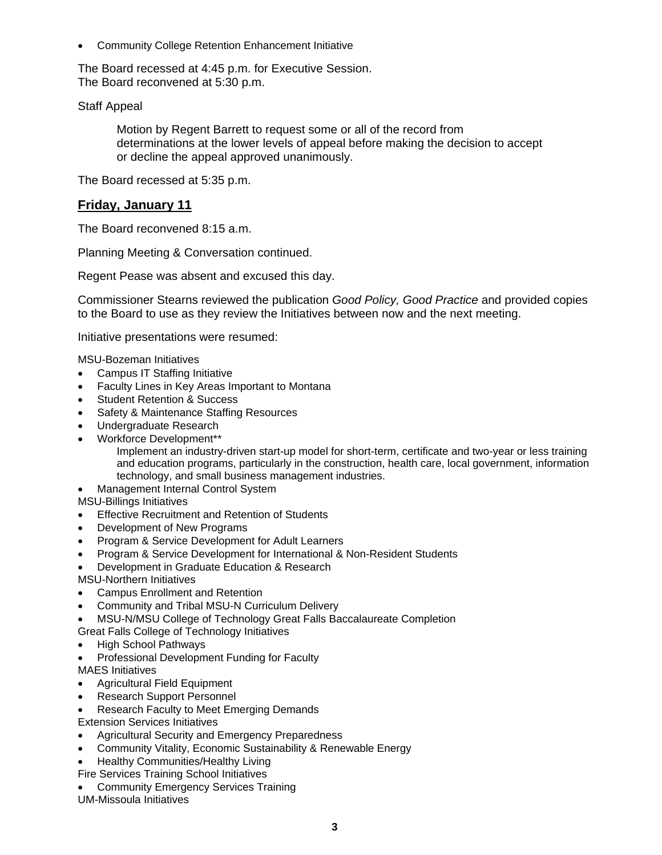• Community College Retention Enhancement Initiative

The Board recessed at 4:45 p.m. for Executive Session. The Board reconvened at 5:30 p.m.

## Staff Appeal

Motion by Regent Barrett to request some or all of the record from determinations at the lower levels of appeal before making the decision to accept or decline the appeal approved unanimously.

The Board recessed at 5:35 p.m.

## **Friday, January 11**

The Board reconvened 8:15 a.m.

Planning Meeting & Conversation continued.

Regent Pease was absent and excused this day.

Commissioner Stearns reviewed the publication *Good Policy, Good Practice* and provided copies to the Board to use as they review the Initiatives between now and the next meeting.

Initiative presentations were resumed:

MSU-Bozeman Initiatives

- Campus IT Staffing Initiative
- Faculty Lines in Key Areas Important to Montana
- Student Retention & Success
- Safety & Maintenance Staffing Resources
- Undergraduate Research
- Workforce Development\*\*

Implement an industry-driven start-up model for short-term, certificate and two-year or less training and education programs, particularly in the construction, health care, local government, information technology, and small business management industries.

• Management Internal Control System

MSU-Billings Initiatives

- Effective Recruitment and Retention of Students
- Development of New Programs
- Program & Service Development for Adult Learners
- Program & Service Development for International & Non-Resident Students

• Development in Graduate Education & Research

MSU-Northern Initiatives

- Campus Enrollment and Retention
- Community and Tribal MSU-N Curriculum Delivery
- MSU-N/MSU College of Technology Great Falls Baccalaureate Completion

Great Falls College of Technology Initiatives

- High School Pathways
- Professional Development Funding for Faculty MAES Initiatives
- Agricultural Field Equipment
- Research Support Personnel
- Research Faculty to Meet Emerging Demands

Extension Services Initiatives

- Agricultural Security and Emergency Preparedness
- Community Vitality, Economic Sustainability & Renewable Energy
- Healthy Communities/Healthy Living

Fire Services Training School Initiatives

• Community Emergency Services Training

UM-Missoula Initiatives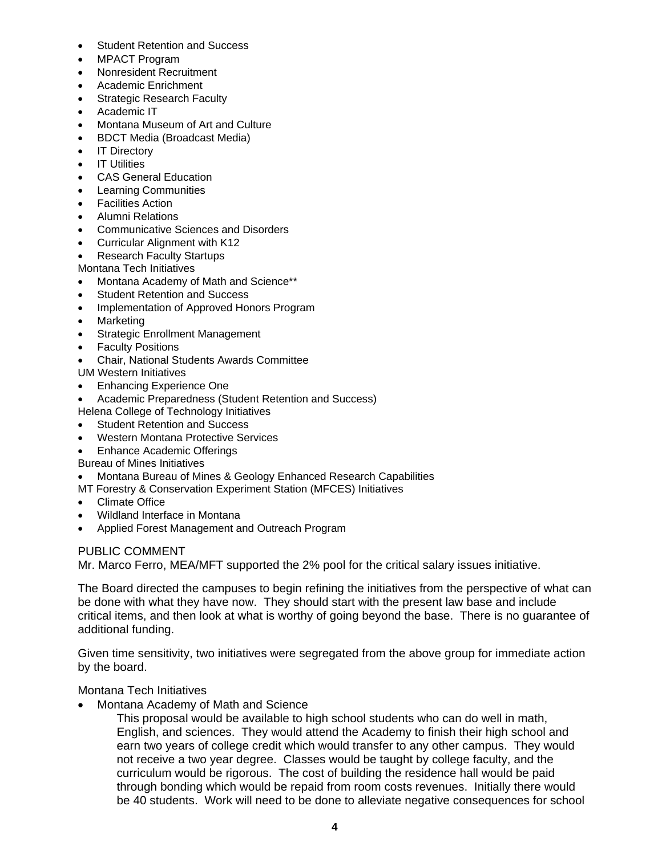- **Student Retention and Success**
- MPACT Program
- Nonresident Recruitment
- Academic Enrichment
- **Strategic Research Faculty**
- Academic IT
- Montana Museum of Art and Culture
- BDCT Media (Broadcast Media)
- **IT Directory**
- IT Utilities
- CAS General Education
- Learning Communities
- **Facilities Action**
- Alumni Relations
- Communicative Sciences and Disorders
- Curricular Alignment with K12
- Research Faculty Startups

Montana Tech Initiatives

- Montana Academy of Math and Science\*\*
- **Student Retention and Success**
- Implementation of Approved Honors Program
- Marketing
- Strategic Enrollment Management
- Faculty Positions
- Chair, National Students Awards Committee
- UM Western Initiatives
- Enhancing Experience One
- Academic Preparedness (Student Retention and Success)
- Helena College of Technology Initiatives
- **Student Retention and Success**
- Western Montana Protective Services
- Enhance Academic Offerings
- Bureau of Mines Initiatives
- Montana Bureau of Mines & Geology Enhanced Research Capabilities
- MT Forestry & Conservation Experiment Station (MFCES) Initiatives
- Climate Office
- Wildland Interface in Montana
- Applied Forest Management and Outreach Program

## PUBLIC COMMENT

Mr. Marco Ferro, MEA/MFT supported the 2% pool for the critical salary issues initiative.

The Board directed the campuses to begin refining the initiatives from the perspective of what can be done with what they have now. They should start with the present law base and include critical items, and then look at what is worthy of going beyond the base. There is no guarantee of additional funding.

Given time sensitivity, two initiatives were segregated from the above group for immediate action by the board.

## Montana Tech Initiatives

• Montana Academy of Math and Science

This proposal would be available to high school students who can do well in math, English, and sciences. They would attend the Academy to finish their high school and earn two years of college credit which would transfer to any other campus. They would not receive a two year degree. Classes would be taught by college faculty, and the curriculum would be rigorous. The cost of building the residence hall would be paid through bonding which would be repaid from room costs revenues. Initially there would be 40 students. Work will need to be done to alleviate negative consequences for school